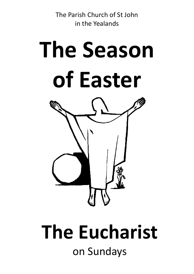The Parish Church of St John in the Yealands



# **The Eucharist** on Sundays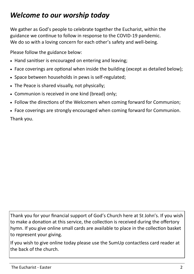# *Welcome to our worship today*

We gather as God's people to celebrate together the Eucharist, within the guidance we continue to follow in response to the COVID-19 pandemic. We do so with a loving concern for each other's safety and well-being.

Please follow the guidance below:

- Hand sanitiser is encouraged on entering and leaving;
- Face coverings are optional when inside the building (except as detailed below);
- Space between households in pews is self-regulated;
- The Peace is shared visually, not physically;
- Communion is received in one kind (bread) only;
- Follow the directions of the Welcomers when coming forward for Communion;
- Face coverings are strongly encouraged when coming forward for Communion. Thank you.

Thank you for your financial support of God's Church here at St John's. If you wish to make a donation at this service, the collection is received during the offertory hymn. If you give online small cards are available to place in the collection basket to represent your giving.

If you wish to give online today please use the SumUp contactless card reader at the back of the church.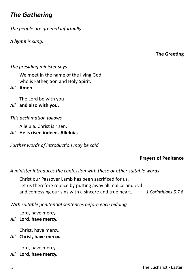## *The Gathering*

*The people are greeted informally.*

*A hymn is sung.*

**The Greeting**

### *The presiding minister says*

We meet in the name of the living God, who is Father, Son and Holy Spirit.

*All* **Amen.**

The Lord be with you

### *All* **and also with you.**

### *This acclamation follows*

Alleluia. Christ is risen.

*All* **He is risen indeed. Alleluia.** 

*Further words of introduction may be said.*

### **Prayers of Penitence**

#### *A minister introduces the confession with these or other suitable words*

Christ our Passover Lamb has been sacrificed for us. Let us therefore rejoice by putting away all malice and evil and confessing our sins with a sincere and true heart. *1 Corinthians 5.7,8*

*With suitable penitential sentences before each bidding*

Lord, have mercy.

*All* **Lord, have mercy.**

Christ, have mercy.

*All* **Christ, have mercy.**

Lord, have mercy.

*All* **Lord, have mercy.**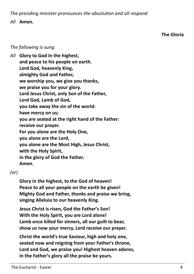*The presiding minister pronounces the absolution and all respond*

#### *All* **Amen.**

**The Gloria**

*The following is sung.*

*All* **Glory to God in the highest, and peace to his people on earth. Lord God, heavenly King, almighty God and Father, we worship you, we give you thanks, we praise you for your glory. Lord Jesus Christ, only Son of the Father, Lord God, Lamb of God, you take away the sin of the world: have mercy on us; you are seated at the right hand of the Father: receive our prayer. For you alone are the Holy One, you alone are the Lord, you alone are the Most High, Jesus Christ, with the Holy Spirit, in the glory of God the Father. Amen.**

### *(or)*

**Glory in the highest, to the God of heaven! Peace to all your people on the earth be given! Mighty God and Father, thanks and praise we bring, singing Alleluia to our heavenly King.** 

**Jesus Christ is risen, God the Father's Son! With the Holy Spirit, you are Lord alone! Lamb once killed for sinners, all our guilt to bear, show us now your mercy, Lord receive our prayer.** 

**Christ the world's true Saviour, high and holy one, seated now and reigning from your Father's throne, Lord and God, we praise you! Highest heaven adores, in the Father's glory all the praise be yours.**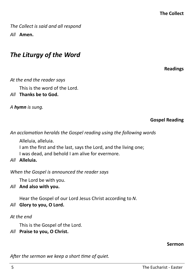*The Collect is said and all respond All* **Amen.**

### *The Liturgy of the Word*

**Readings**

### *At the end the reader says*

This is the word of the Lord.

*All* **Thanks be to God.**

*A hymn is sung.* 

**Gospel Reading**

*An acclamation heralds the Gospel reading using the following words*

Alleluia, alleluia.

I am the first and the last, says the Lord, and the living one;

I was dead, and behold I am alive for evermore.

*All* **Alleluia.**

*When the Gospel is announced the reader says*

The Lord be with you.

*All* **And also with you.**

Hear the Gospel of our Lord Jesus Christ according to *N*.

### *All* **Glory to you, O Lord.**

### *At the end*

This is the Gospel of the Lord.

*All* **Praise to you, O Christ.**

### **Sermon**

*After the sermon we keep a short time of quiet.*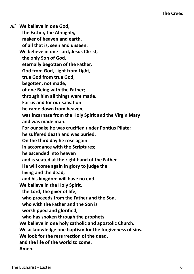*All* **We believe in one God, the Father, the Almighty, maker of heaven and earth, of all that is, seen and unseen. We believe in one Lord, Jesus Christ, the only Son of God, eternally begotten of the Father, God from God, Light from Light, true God from true God, begotten, not made, of one Being with the Father; through him all things were made. For us and for our salvation he came down from heaven, was incarnate from the Holy Spirit and the Virgin Mary and was made man. For our sake he was crucified under Pontius Pilate; he suffered death and was buried. On the third day he rose again in accordance with the Scriptures; he ascended into heaven and is seated at the right hand of the Father. He will come again in glory to judge the living and the dead, and his kingdom will have no end. We believe in the Holy Spirit, the Lord, the giver of life, who proceeds from the Father and the Son, who with the Father and the Son is worshipped and glorified, who has spoken through the prophets. We believe in one holy catholic and apostolic Church. We acknowledge one baptism for the forgiveness of sins. We look for the resurrection of the dead, and the life of the world to come. Amen.**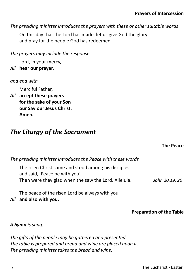*The presiding minister introduces the prayers with these or other suitable words*

On this day that the Lord has made, let us give God the glory and pray for the people God has redeemed.

*The prayers may include the response*

Lord, in your mercy,

*All* **hear our prayer.**

*and end with*

Merciful Father,

*All* **accept these prayers for the sake of your Son our Saviour Jesus Christ. Amen.**

# *The Liturgy of the Sacrament*

**The Peace**

| The presiding minister introduces the Peace with these words                          |                |
|---------------------------------------------------------------------------------------|----------------|
| The risen Christ came and stood among his disciples<br>and said, 'Peace be with you'. |                |
| Then were they glad when the saw the Lord. Alleluia.                                  | John 20.19, 20 |

The peace of the risen Lord be always with you *All* **and also with you.**

**Preparation of the Table**

*A hymn is sung.*

*The gifts of the people may be gathered and presented. The table is prepared and bread and wine are placed upon it. The presiding minister takes the bread and wine.*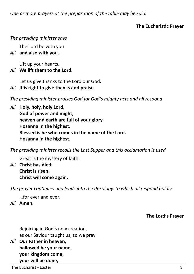*One or more prayers at the preparation of the table may be said.* 

### **The Eucharistic Prayer**

### *The presiding minister says*

The Lord be with you

### *All* **and also with you.**

Lift up your hearts.

### *All* **We lift them to the Lord.**

Let us give thanks to the Lord our God.

*All* **It is right to give thanks and praise.**

*The presiding minister praises God for God's mighty acts and all respond*

*All* **Holy, holy, holy Lord,**

**God of power and might, heaven and earth are full of your glory. Hosanna in the highest. Blessed is he who comes in the name of the Lord. Hosanna in the highest.**

*The presiding minister recalls the Last Supper and this acclamation is used*

Great is the mystery of faith:

*All* **Christ has died: Christ is risen: Christ will come again.** 

*The prayer continues and leads into the doxology, to which all respond boldly*

…for ever and ever.

*All* **Amen.** 

**The Lord's Prayer**

Rejoicing in God's new creation, as our Saviour taught us, so we pray

*All* **Our Father in heaven, hallowed be your name, your kingdom come, your will be done,**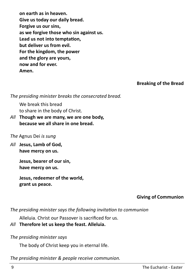**on earth as in heaven. Give us today our daily bread. Forgive us our sins, as we forgive those who sin against us. Lead us not into temptation, but deliver us from evil. For the kingdom, the power and the glory are yours, now and for ever. Amen.**

**Breaking of the Bread**

*The presiding minister breaks the consecrated bread.*

We break this bread to share in the body of Christ.

*All* **Though we are many, we are one body, because we all share in one bread.**

### *The* Agnus Dei *is sung*

*All* **Jesus, Lamb of God, have mercy on us.**

> **Jesus, bearer of our sin, have mercy on us.**

**Jesus, redeemer of the world, grant us peace.**

### **Giving of Communion**

*The presiding minister says the following invitation to communion*

Alleluia. Christ our Passover is sacrificed for us.

### *All* **Therefore let us keep the feast. Alleluia.**

*The presiding minister says* 

The body of Christ keep you in eternal life.

*The presiding minister & people receive communion.*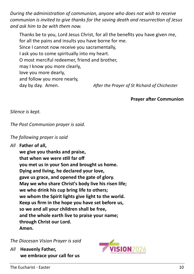*During the administration of communion, anyone who does not wish to receive communion is invited to give thanks for the saving death and resurrection of Jesus and ask him to be with them now.* 

Thanks be to you, Lord Jesus Christ, for all the benefits you have given me, for all the pains and insults you have borne for me. Since I cannot now receive you sacramentally, I ask you to come spiritually into my heart. O most merciful redeemer, friend and brother, may I know you more clearly, love you more dearly, and follow you more nearly, day by day. Amen. *After the Prayer of St Richard of Chichester*

**Prayer after Communion**

*Silence is kept.*

*The Post Communion prayer is said.*

### *The following prayer is said*

*All* **Father of all,**

**we give you thanks and praise, that when we were still far off you met us in your Son and brought us home. Dying and living, he declared your love, gave us grace, and opened the gate of glory. May we who share Christ's body live his risen life; we who drink his cup bring life to others; we whom the Spirit lights give light to the world. Keep us firm in the hope you have set before us, so we and all your children shall be free, and the whole earth live to praise your name; through Christ our Lord. Amen.**

*The Diocesan Vision Prayer is said*

*All* **Heavenly Father, we embrace your call for us**

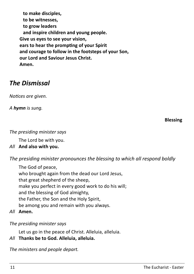**to make disciples, to be witnesses, to grow leaders and inspire children and young people. Give us eyes to see your vision, ears to hear the prompting of your Spirit and courage to follow in the footsteps of your Son, our Lord and Saviour Jesus Christ. Amen.** 

### *The Dismissal*

*Notices are given.*

*A hymn is sung.*

**Blessing**

### *The presiding minister says*

The Lord be with you.

### *All* **And also with you.**

*The presiding minister pronounces the blessing to which all respond boldly*

The God of peace, who brought again from the dead our Lord Jesus, that great shepherd of the sheep, make you perfect in every good work to do his will; and the blessing of God almighty, the Father, the Son and the Holy Spirit, be among you and remain with you always.

*All* **Amen.** 

### *The presiding minister says*

Let us go in the peace of Christ. Alleluia, alleluia.

### *All* **Thanks be to God. Alleluia, alleluia.**

*The ministers and people depart.*